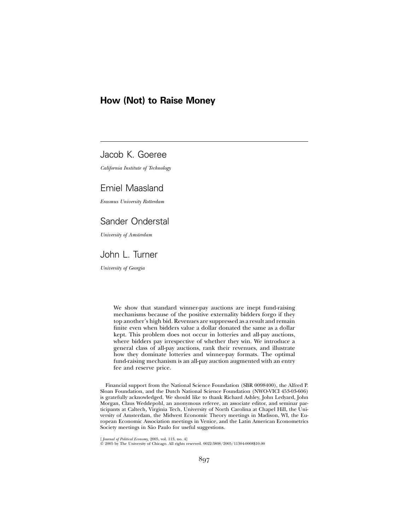# **How (Not) to Raise Money**

# Jacob K. Goeree

*California Institute of Technology*

# Emiel Maasland

*Erasmus University Rotterdam*

# Sander Onderstal

*University of Amsterdam*

# John L. Turner

*University of Georgia*

We show that standard winner-pay auctions are inept fund-raising mechanisms because of the positive externality bidders forgo if they top another's high bid. Revenues are suppressed as a result and remain finite even when bidders value a dollar donated the same as a dollar kept. This problem does not occur in lotteries and all-pay auctions, where bidders pay irrespective of whether they win. We introduce a general class of all-pay auctions, rank their revenues, and illustrate how they dominate lotteries and winner-pay formats. The optimal fund-raising mechanism is an all-pay auction augmented with an entry fee and reserve price.

Financial support from the National Science Foundation (SBR 0098400), the Alfred P. Sloan Foundation, and the Dutch National Science Foundation (NWO-VICI 453-03-606) is gratefully acknowledged. We should like to thank Richard Ashley, John Ledyard, John Morgan, Claus Weddepohl, an anonymous referee, an associate editor, and seminar participants at Caltech, Virginia Tech, University of North Carolina at Chapel Hill, the University of Amsterdam, the Midwest Economic Theory meetings in Madison, WI, the European Economic Association meetings in Venice, and the Latin American Econometrics Society meetings in São Paulo for useful suggestions.

[*Journal of Political Econom*y, 2005, vol. 113, no. 4]<br>© 2005 by The University of Chicago. All rights reserved. 0022-3808/2005/11304-0008\$10.00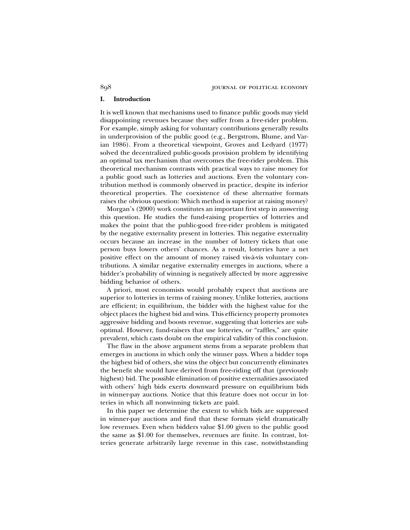#### **I. Introduction**

It is well known that mechanisms used to finance public goods may yield disappointing revenues because they suffer from a free-rider problem. For example, simply asking for voluntary contributions generally results in underprovision of the public good (e.g., Bergstrom, Blume, and Varian 1986). From a theoretical viewpoint, Groves and Ledyard (1977) solved the decentralized public-goods provision problem by identifying an optimal tax mechanism that overcomes the free-rider problem. This theoretical mechanism contrasts with practical ways to raise money for a public good such as lotteries and auctions. Even the voluntary contribution method is commonly observed in practice, despite its inferior theoretical properties. The coexistence of these alternative formats raises the obvious question: Which method is superior at raising money?

Morgan's (2000) work constitutes an important first step in answering this question. He studies the fund-raising properties of lotteries and makes the point that the public-good free-rider problem is mitigated by the negative externality present in lotteries. This negative externality occurs because an increase in the number of lottery tickets that one person buys lowers others' chances. As a result, lotteries have a net positive effect on the amount of money raised vis-à-vis voluntary contributions. A similar negative externality emerges in auctions, where a bidder's probability of winning is negatively affected by more aggressive bidding behavior of others.

A priori, most economists would probably expect that auctions are superior to lotteries in terms of raising money. Unlike lotteries, auctions are efficient; in equilibrium, the bidder with the highest value for the object places the highest bid and wins. This efficiency property promotes aggressive bidding and boosts revenue, suggesting that lotteries are suboptimal. However, fund-raisers that use lotteries, or "raffles," are quite prevalent, which casts doubt on the empirical validity of this conclusion.

The flaw in the above argument stems from a separate problem that emerges in auctions in which only the winner pays. When a bidder tops the highest bid of others, she wins the object but concurrently eliminates the benefit she would have derived from free-riding off that (previously highest) bid. The possible elimination of positive externalities associated with others' high bids exerts downward pressure on equilibrium bids in winner-pay auctions. Notice that this feature does not occur in lotteries in which all nonwinning tickets are paid.

In this paper we determine the extent to which bids are suppressed in winner-pay auctions and find that these formats yield dramatically low revenues. Even when bidders value \$1.00 given to the public good the same as \$1.00 for themselves, revenues are finite. In contrast, lotteries generate arbitrarily large revenue in this case, notwithstanding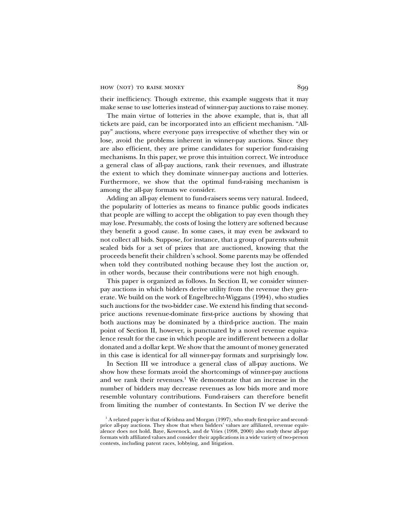their inefficiency. Though extreme, this example suggests that it may make sense to use lotteries instead of winner-pay auctions to raise money.

The main virtue of lotteries in the above example, that is, that all tickets are paid, can be incorporated into an efficient mechanism. "Allpay" auctions, where everyone pays irrespective of whether they win or lose, avoid the problems inherent in winner-pay auctions. Since they are also efficient, they are prime candidates for superior fund-raising mechanisms. In this paper, we prove this intuition correct. We introduce a general class of all-pay auctions, rank their revenues, and illustrate the extent to which they dominate winner-pay auctions and lotteries. Furthermore, we show that the optimal fund-raising mechanism is among the all-pay formats we consider.

Adding an all-pay element to fund-raisers seems very natural. Indeed, the popularity of lotteries as means to finance public goods indicates that people are willing to accept the obligation to pay even though they may lose. Presumably, the costs of losing the lottery are softened because they benefit a good cause. In some cases, it may even be awkward to not collect all bids. Suppose, for instance, that a group of parents submit sealed bids for a set of prizes that are auctioned, knowing that the proceeds benefit their children's school. Some parents may be offended when told they contributed nothing because they lost the auction or, in other words, because their contributions were not high enough.

This paper is organized as follows. In Section II, we consider winnerpay auctions in which bidders derive utility from the revenue they generate. We build on the work of Engelbrecht-Wiggans (1994), who studies such auctions for the two-bidder case. We extend his finding that secondprice auctions revenue-dominate first-price auctions by showing that both auctions may be dominated by a third-price auction. The main point of Section II, however, is punctuated by a novel revenue equivalence result for the case in which people are indifferent between a dollar donated and a dollar kept. We show that the amount of money generated in this case is identical for all winner-pay formats and surprisingly low.

In Section III we introduce a general class of all-pay auctions. We show how these formats avoid the shortcomings of winner-pay auctions and we rank their revenues.<sup>1</sup> We demonstrate that an increase in the number of bidders may decrease revenues as low bids more and more resemble voluntary contributions. Fund-raisers can therefore benefit from limiting the number of contestants. In Section IV we derive the

<sup>&</sup>lt;sup>1</sup> A related paper is that of Krishna and Morgan (1997), who study first-price and secondprice all-pay auctions. They show that when bidders' values are affiliated, revenue equivalence does not hold. Baye, Kovenock, and de Vries (1998, 2000) also study these all-pay formats with affiliated values and consider their applications in a wide variety of two-person contests, including patent races, lobbying, and litigation.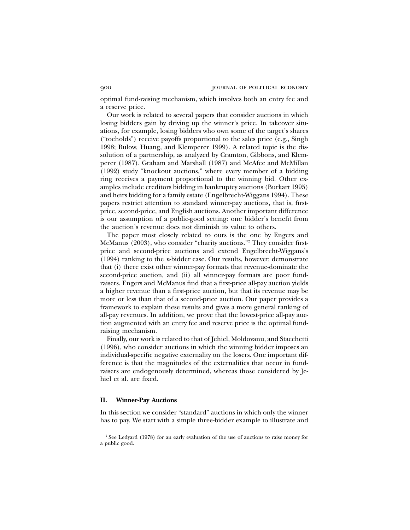optimal fund-raising mechanism, which involves both an entry fee and a reserve price.

Our work is related to several papers that consider auctions in which losing bidders gain by driving up the winner's price. In takeover situations, for example, losing bidders who own some of the target's shares ("toeholds") receive payoffs proportional to the sales price (e.g., Singh 1998; Bulow, Huang, and Klemperer 1999). A related topic is the dissolution of a partnership, as analyzed by Cramton, Gibbons, and Klemperer (1987). Graham and Marshall (1987) and McAfee and McMillan (1992) study "knockout auctions," where every member of a bidding ring receives a payment proportional to the winning bid. Other examples include creditors bidding in bankruptcy auctions (Burkart 1995) and heirs bidding for a family estate (Engelbrecht-Wiggans 1994). These papers restrict attention to standard winner-pay auctions, that is, firstprice, second-price, and English auctions. Another important difference is our assumption of a public-good setting: one bidder's benefit from the auction's revenue does not diminish its value to others.

The paper most closely related to ours is the one by Engers and McManus (2003), who consider "charity auctions."<sup>2</sup> They consider firstprice and second-price auctions and extend Engelbrecht-Wiggans's (1994) ranking to the *n*-bidder case. Our results, however, demonstrate that (i) there exist other winner-pay formats that revenue-dominate the second-price auction, and (ii) all winner-pay formats are poor fundraisers. Engers and McManus find that a first-price all-pay auction yields a higher revenue than a first-price auction, but that its revenue may be more or less than that of a second-price auction. Our paper provides a framework to explain these results and gives a more general ranking of all-pay revenues. In addition, we prove that the lowest-price all-pay auction augmented with an entry fee and reserve price is the optimal fundraising mechanism.

Finally, our work is related to that of Jehiel, Moldovanu, and Stacchetti (1996), who consider auctions in which the winning bidder imposes an individual-specific negative externality on the losers. One important difference is that the magnitudes of the externalities that occur in fundraisers are endogenously determined, whereas those considered by Jehiel et al. are fixed.

## **II. Winner-Pay Auctions**

In this section we consider "standard" auctions in which only the winner has to pay. We start with a simple three-bidder example to illustrate and

<sup>&</sup>lt;sup>2</sup> See Ledyard (1978) for an early evaluation of the use of auctions to raise money for a public good.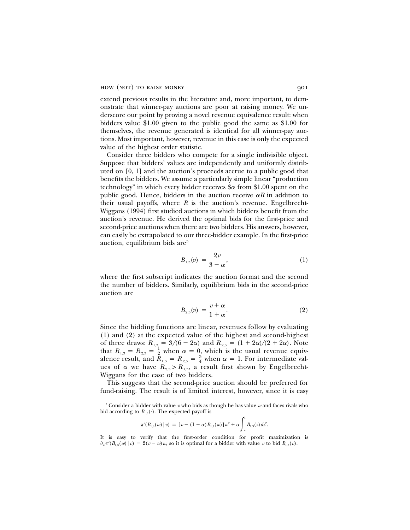extend previous results in the literature and, more important, to demonstrate that winner-pay auctions are poor at raising money. We underscore our point by proving a novel revenue equivalence result: when bidders value \$1.00 given to the public good the same as \$1.00 for themselves, the revenue generated is identical for all winner-pay auctions. Most important, however, revenue in this case is only the expected value of the highest order statistic.

Consider three bidders who compete for a single indivisible object. Suppose that bidders' values are independently and uniformly distributed on [0, 1] and the auction's proceeds accrue to a public good that benefits the bidders. We assume a particularly simple linear "production technology" in which every bidder receives  $\alpha$  from \$1.00 spent on the public good. Hence, bidders in the auction receive  $\alpha R$  in addition to their usual payoffs, where *R* is the auction's revenue. Engelbrecht-Wiggans (1994) first studied auctions in which bidders benefit from the auction's revenue. He derived the optimal bids for the first-price and second-price auctions when there are two bidders. His answers, however, can easily be extrapolated to our three-bidder example. In the first-price auction, equilibrium bids  $are^3$ 

$$
B_{1,3}(v) = \frac{2v}{3 - \alpha},
$$
 (1)

where the first subscript indicates the auction format and the second the number of bidders. Similarly, equilibrium bids in the second-price auction are

$$
B_{2,3}(v) = \frac{v + \alpha}{1 + \alpha}.\tag{2}
$$

Since the bidding functions are linear, revenues follow by evaluating (1) and (2) at the expected value of the highest and second-highest of three draws:  $R_{1,3} = 3/(6 - 2\alpha)$  and  $R_{2,3} = (1 + 2\alpha)/(2 + 2\alpha)$ . Note that  $R_{1,3} = R_{2,3} = \frac{1}{2}$  when  $\alpha = 0$ , which is the usual revenue equivalence result, and  $R_{1,3} = R_{2,3} = \frac{3}{4}$  when  $\alpha = 1$ . For intermediate values of  $\alpha$  we have  $R_{2,3} > R_{1,3}$ , a result first shown by Engelbrecht-Wiggans for the case of two bidders.

This suggests that the second-price auction should be preferred for fund-raising. The result is of limited interest, however, since it is easy

$$
\pi^{\epsilon}(B_{1,3}(w) \,|\, v) \,=\, [\,v - (1-\alpha) \, B_{1,3}(w)\,]\, w^2 + \alpha \int_{\!-w}^{1} \, B_{1,3}(z) \, dz^2.
$$

It is easy to verify that the first-order condition for profit maximization is  $\partial_{\nu} \pi^{\nu} (B_{1,3}(w) | \nu) = 2(v - w) w$ , so it is optimal for a bidder with value *v* to bid  $B_{1,3}(v)$ .

<sup>3</sup> Consider a bidder with value *v* who bids as though he has value *w* and faces rivals who bid according to  $B_{1,3}(\cdot)$ . The expected payoff is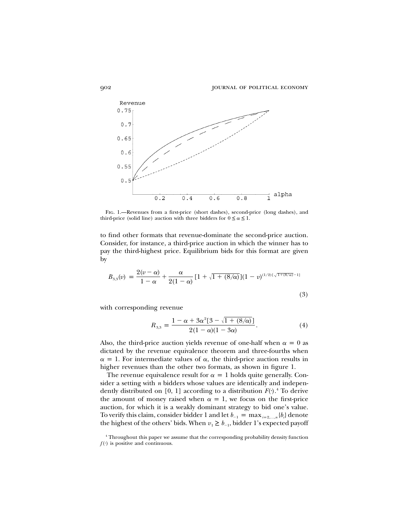

Fig. 1.—Revenues from a first-price (short dashes), second-price (long dashes), and third-price (solid line) auction with three bidders for  $0 \le \alpha \le 1$ .

to find other formats that revenue-dominate the second-price auction. Consider, for instance, a third-price auction in which the winner has to pay the third-highest price. Equilibrium bids for this format are given by

$$
B_{3,3}(v) = \frac{2(v - \alpha)}{1 - \alpha} + \frac{\alpha}{2(1 - \alpha)} \left[1 + \sqrt{1 + (8/\alpha)}\right] (1 - v)^{(1/2)\left[\sqrt{1 + (8/\alpha)} - 1\right]}
$$
\n(3)

with corresponding revenue

$$
R_{3,3} = \frac{1 - \alpha + 3\alpha^2 [3 - \sqrt{1 + (8/\alpha)}]}{2(1 - \alpha)(1 - 3\alpha)}.
$$
 (4)

Also, the third-price auction yields revenue of one-half when  $\alpha = 0$  as dictated by the revenue equivalence theorem and three-fourths when  $\alpha = 1$ . For intermediate values of  $\alpha$ , the third-price auction results in higher revenues than the other two formats, as shown in figure 1.

The revenue equivalence result for  $\alpha = 1$  holds quite generally. Consider a setting with *n* bidders whose values are identically and independently distributed on [0, 1] according to a distribution  $F(\cdot)$ <sup>4</sup>. To derive the amount of money raised when  $\alpha = 1$ , we focus on the first-price auction, for which it is a weakly dominant strategy to bid one's value. To verify this claim, consider bidder 1 and let  $b_{-1} = \max_{i=2,...,n} \{b_i\}$  denote the highest of the others' bids. When  $v_1 \ge b_{-1}$ , bidder 1's expected payoff

<sup>4</sup> Throughout this paper we assume that the corresponding probability density function  $f(\cdot)$  is positive and continuous.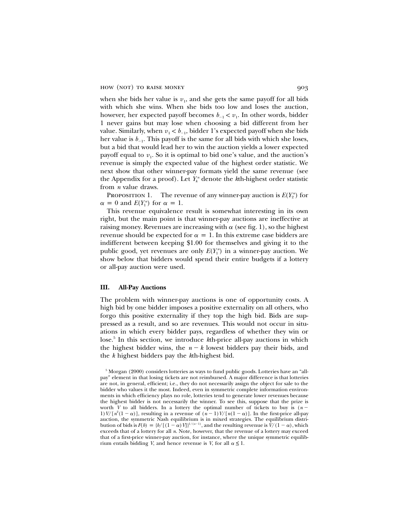when she bids her value is  $v_1$ , and she gets the same payoff for all bids with which she wins. When she bids too low and loses the auction, however, her expected payoff becomes  $b_{-1} < v_1$ . In other words, bidder 1 never gains but may lose when choosing a bid different from her value. Similarly, when  $v_1 < b_{-1}$ , bidder 1's expected payoff when she bids her value is  $b_{-1}$ . This payoff is the same for all bids with which she loses, but a bid that would lead her to win the auction yields a lower expected payoff equal to  $v_1$ . So it is optimal to bid one's value, and the auction's revenue is simply the expected value of the highest order statistic. We next show that other winner-pay formats yield the same revenue (see the Appendix for a proof). Let  $Y_k^n$  denote the *k*th-highest order statistic from *n* value draws.

PROPOSITION 1. The revenue of any winner-pay auction is  $E(Y_2^n)$  for  $\alpha = 0$  and  $E(Y_1^n)$  for  $\alpha = 1$ .

This revenue equivalence result is somewhat interesting in its own right, but the main point is that winner-pay auctions are ineffective at raising money. Revenues are increasing with  $\alpha$  (see fig. 1), so the highest revenue should be expected for  $\alpha = 1$ . In this extreme case bidders are indifferent between keeping \$1.00 for themselves and giving it to the public good, yet revenues are only  $E(Y_1^n)$  in a winner-pay auction. We show below that bidders would spend their entire budgets if a lottery or all-pay auction were used.

#### **III. All-Pay Auctions**

The problem with winner-pay auctions is one of opportunity costs. A high bid by one bidder imposes a positive externality on all others, who forgo this positive externality if they top the high bid. Bids are suppressed as a result, and so are revenues. This would not occur in situations in which every bidder pays, regardless of whether they win or lose.<sup>5</sup> In this section, we introduce *k*th-price all-pay auctions in which the highest bidder wins, the  $n - k$  lowest bidders pay their bids, and the *k* highest bidders pay the *k*th-highest bid.

<sup>5</sup> Morgan (2000) considers lotteries as ways to fund public goods. Lotteries have an "allpay" element in that losing tickets are not reimbursed. A major difference is that lotteries are not, in general, efficient; i.e., they do not necessarily assign the object for sale to the bidder who values it the most. Indeed, even in symmetric complete information environments in which efficiency plays no role, lotteries tend to generate lower revenues because the highest bidder is not necessarily the winner. To see this, suppose that the prize is worth *V* to all bidders. In a lottery the optimal number of tickets to buy is  $(n 1) V/[n^2(1-\alpha)]$ , resulting in a revenue of  $(n-1)V/[n(1-\alpha)]$ . In the first-price all-pay auction, the symmetric Nash equilibrium is in mixed strategies. The equilibrium distribution of bids is  $F(b) = {b/[(1 - \alpha) V]}^{1/(n-1)}$ , and the resulting revenue is  $V/(1 - \alpha)$ , which exceeds that of a lottery for all *n*. Note, however, that the revenue of a lottery may exceed that of a first-price winner-pay auction, for instance, where the unique symmetric equilibrium entails bidding *V*, and hence revenue is *V*, for all  $\alpha \leq 1$ .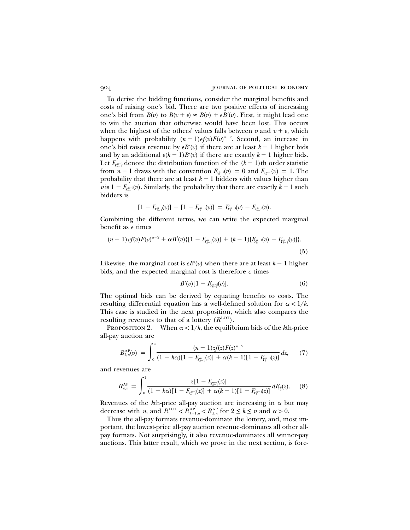To derive the bidding functions, consider the marginal benefits and costs of raising one's bid. There are two positive effects of increasing one's bid from  $B(v)$  to  $B(v + \epsilon) \approx B(v) + \epsilon B'(v)$ . First, it might lead one to win the auction that otherwise would have been lost. This occurs when the highest of the others' values falls between  $v$  and  $v + \epsilon$ , which happens with probability  $(n - 1) \epsilon f(v) F(v)^{n-2}$ . Second, an increase in one's bid raises revenue by  $\epsilon B'(v)$  if there are at least  $k-1$  higher bids and by an additional  $\epsilon (k-1)B'(v)$  if there are exactly  $k-1$  higher bids. Let  $F_{Y_{k-1}^{n-1}}$  denote the distribution function of the  $(k-1)$ <sup>th</sup> order statistic from  $n-1$  draws with the convention  $F_{Y_n^n}(\nu) = 0$  and  $F_{Y_n^n}(\nu) = 1$ . The probability that there are at least  $k-1$  bidders with values higher than *v* is  $1 - F_{Y_{k-1}^{n-1}}(v)$ . Similarly, the probability that there are exactly  $k - 1$  such bidders is

$$
[1 - F_{Y_{k-1}^{n-1}}(v)] - [1 - F_{Y_k^{n-1}}(v)] = F_{Y_k^{n-1}}(v) - F_{Y_{k-1}^{n-1}}(v).
$$

Combining the different terms, we can write the expected marginal benefit as e times

$$
(n-1) \nu f(v) F(v)^{n-2} + \alpha B'(v) \{ [1 - F_{Y_{k-1}^n}(v)] + (k-1) [F_{Y_k^{n-1}}(v) - F_{Y_{k-1}^n}(v)] \}.
$$
\n(5)

Likewise, the marginal cost is  $\epsilon B'(v)$  when there are at least  $k-1$  higher bids, and the expected marginal cost is therefore  $\epsilon$  times

$$
B'(v)[1 - F_{Y_{k-1}^{n-1}}(v)]. \tag{6}
$$

The optimal bids can be derived by equating benefits to costs. The resulting differential equation has a well-defined solution for  $\alpha < 1/k$ . This case is studied in the next proposition, which also compares the resulting revenues to that of a lottery  $(R^{\text{LOT}})$ .

PROPOSITION 2. When  $\alpha < 1/k$ , the equilibrium bids of the kth-price all-pay auction are

$$
B_{k,n}^{\text{AP}}(v) = \int_0^v \frac{(n-1)z f(z) F(z)^{n-2}}{(1-k\alpha)[1 - F_{Y_{k-1}^{n-1}}(z)] + \alpha(k-1)[1 - F_{Y_k^{n-1}}(z)]} dz,
$$
 (7)

and revenues are

$$
R_{k,n}^{\rm AP} = \int_0^1 \frac{z[1-F_{Y_{k-1}^{n-1}}(z)]}{(1-k\alpha)[1-F_{Y_{k-1}^{n-1}}(z)]+\alpha(k-1)[1-F_{Y_k^{n-1}}(z)]} dF_{Y_2^n}(z). \tag{8}
$$

Revenues of the  $k$ th-price all-pay auction are increasing in  $\alpha$  but may decrease with *n*, and  $R^{LOT} < R_{k-1,n}^{AP} < R_{k,n}^{AP}$  for  $2 \le k \le n$  and  $\alpha > 0$ .

Thus the all-pay formats revenue-dominate the lottery, and, most important, the lowest-price all-pay auction revenue-dominates all other allpay formats. Not surprisingly, it also revenue-dominates all winner-pay auctions. This latter result, which we prove in the next section, is fore-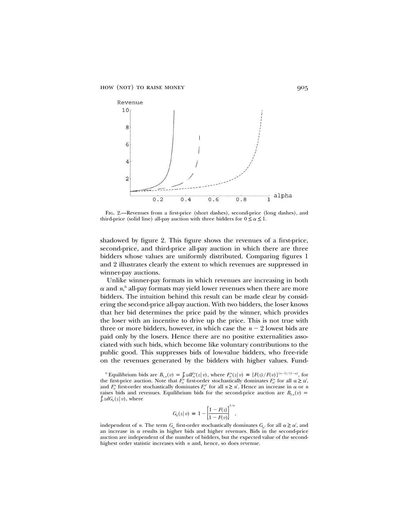

Fig. 2.—Revenues from a first-price (short dashes), second-price (long dashes), and third-price (solid line) all-pay auction with three bidders for  $0 \le \alpha \le 1$ .

shadowed by figure 2. This figure shows the revenues of a first-price, second-price, and third-price all-pay auction in which there are three bidders whose values are uniformly distributed. Comparing figures 1 and 2 illustrates clearly the extent to which revenues are suppressed in winner-pay auctions.

Unlike winner-pay formats in which revenues are increasing in both  $\alpha$  and  $n<sup>6</sup>$  all-pay formats may yield lower revenues when there are more bidders. The intuition behind this result can be made clear by considering the second-price all-pay auction. With two bidders, the loser knows that her bid determines the price paid by the winner, which provides the loser with an incentive to drive up the price. This is not true with three or more bidders, however, in which case the  $n - 2$  lowest bids are paid only by the losers. Hence there are no positive externalities associated with such bids, which become like voluntary contributions to the public good. This suppresses bids of low-value bidders, who free-ride on the revenues generated by the bidders with higher values. Fund-

$$
G_{\alpha}(z|v) \equiv 1 - \left[\frac{1 - F(z)}{1 - F(v)}\right]^{1/\alpha},
$$

independent of *n*. The term  $G_{\alpha}$  first-order stochastically dominates  $G_{\alpha}$  for all  $\alpha \geq \alpha'$ , and an increase in  $\alpha$  results in higher bids and higher revenues. Bids in the second-price auction are independent of the number of bidders, but the expected value of the secondhighest order statistic increases with *n* and, hence, so does revenue.

<sup>&</sup>lt;sup>6</sup> Equilibrium bids are  $B_{1,n}(v) = \int_0^v z dF_\alpha^n(z|v)$ , where  $F_\alpha^n(z|v) \equiv [F(z)/F(v)]^{(n-1)/(1-\alpha)}$ , for the first-price auction. Note that  $F_{\alpha}^{n}$  first-order stochastically dominates  $F_{\alpha}^{n}$  for all  $\alpha \ge \alpha'$ , and  $F_{\alpha}^{n}$  first-order stochastically dominates  $F_{\alpha}^{n'}$  for all  $n \geq n'$ . Hence an increase in  $\alpha$  or *n* raises bids and revenues. Equilibrium bids for the second-price auction are  $B_{2,n}(v)$  =  $\int_v^1 z dG_\alpha(z \,|\, v)$ , where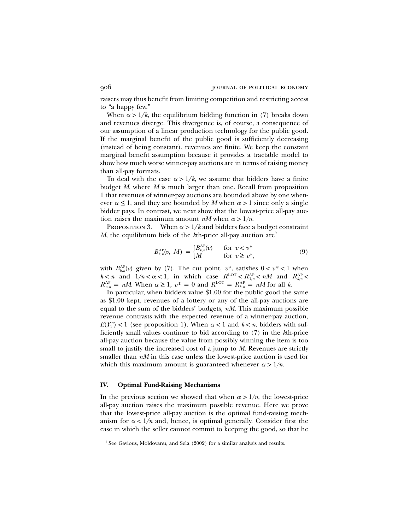raisers may thus benefit from limiting competition and restricting access to "a happy few."

When  $\alpha$  > 1/*k*, the equilibrium bidding function in (7) breaks down and revenues diverge. This divergence is, of course, a consequence of our assumption of a linear production technology for the public good. If the marginal benefit of the public good is sufficiently decreasing (instead of being constant), revenues are finite. We keep the constant marginal benefit assumption because it provides a tractable model to show how much worse winner-pay auctions are in terms of raising money than all-pay formats.

To deal with the case  $\alpha > 1/k$ , we assume that bidders have a finite budget *M*, where *M* is much larger than one. Recall from proposition 1 that revenues of winner-pay auctions are bounded above by one whenever  $\alpha \leq 1$ , and they are bounded by M when  $\alpha > 1$  since only a single bidder pays. In contrast, we next show that the lowest-price all-pay auction raises the maximum amount *nM* when  $\alpha > 1/n$ .

PROPOSITION 3. When  $\alpha > 1/k$  and bidders face a budget constraint *M*, the equilibrium bids of the *k*th-price all-pay auction are<sup>7</sup>

$$
B_{k,n}^{\mathcal{AP}}(v, M) = \begin{cases} B_{k,n}^{\mathcal{AP}}(v) & \text{for } v < v^*\\ M & \text{for } v \ge v^*, \end{cases} \tag{9}
$$

with  $B_{k,n}^{\text{AP}}(v)$  given by (7). The cut point,  $v^*$ , satisfies  $0 < v^* < 1$  when  $k < n$  and  $1/n < \alpha < 1$ , in which case  $R^{\text{LOT}} < R^{\text{AP}}_{1,n} < nM$  and  $R^{\text{AP}}_{k,n} < nM$  $R_{n,n}^{\text{AP}} = nM$ . When  $\alpha \geq 1$ ,  $v^* = 0$  and  $R^{\text{LOT}} = R_{k,n}^{\text{AP}} = nM$  for all k.

In particular, when bidders value \$1.00 for the public good the same as \$1.00 kept, revenues of a lottery or any of the all-pay auctions are equal to the sum of the bidders' budgets, *nM*. This maximum possible revenue contrasts with the expected revenue of a winner-pay auction,  $E(Y_1^n)$  < 1 (see proposition 1). When  $\alpha$  < 1 and  $k$  < *n*, bidders with sufficiently small values continue to bid according to (7) in the *k*th-price all-pay auction because the value from possibly winning the item is too small to justify the increased cost of a jump to *M*. Revenues are strictly smaller than *nM* in this case unless the lowest-price auction is used for which this maximum amount is guaranteed whenever  $\alpha > 1/n$ .

#### **IV. Optimal Fund-Raising Mechanisms**

In the previous section we showed that when  $\alpha > 1/n$ , the lowest-price all-pay auction raises the maximum possible revenue. Here we prove that the lowest-price all-pay auction is the optimal fund-raising mechanism for  $\alpha < 1/n$  and, hence, is optimal generally. Consider first the case in which the seller cannot commit to keeping the good, so that he

<sup>7</sup> See Gavious, Moldovanu, and Sela (2002) for a similar analysis and results.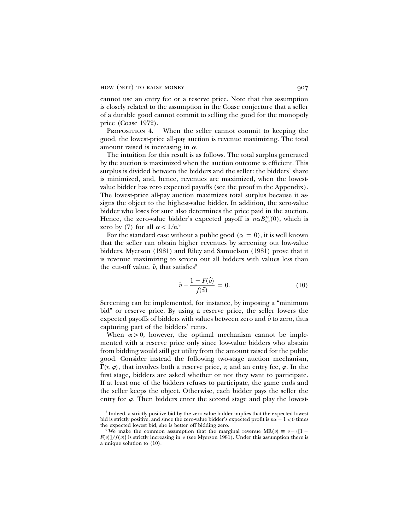cannot use an entry fee or a reserve price. Note that this assumption is closely related to the assumption in the Coase conjecture that a seller of a durable good cannot commit to selling the good for the monopoly price (Coase 1972).

PROPOSITION 4. When the seller cannot commit to keeping the good, the lowest-price all-pay auction is revenue maximizing. The total amount raised is increasing in  $\alpha$ .

The intuition for this result is as follows. The total surplus generated by the auction is maximized when the auction outcome is efficient. This surplus is divided between the bidders and the seller: the bidders' share is minimized, and, hence, revenues are maximized, when the lowestvalue bidder has zero expected payoffs (see the proof in the Appendix). The lowest-price all-pay auction maximizes total surplus because it assigns the object to the highest-value bidder. In addition, the zero-value bidder who loses for sure also determines the price paid in the auction. Hence, the zero-value bidder's expected payoff is  $n \alpha B_{n,n}^{\text{AP}}(0)$ , which is zero by (7) for all  $\alpha < 1/n$ <sup>8</sup>

For the standard case without a public good ( $\alpha = 0$ ), it is well known that the seller can obtain higher revenues by screening out low-value bidders. Myerson (1981) and Riley and Samuelson (1981) prove that it is revenue maximizing to screen out all bidders with values less than the cut-off value,  $\hat{v}$ , that satisfies<sup>9</sup>

$$
\hat{v} - \frac{1 - F(\hat{v})}{f(\hat{v})} = 0.
$$
\n(10)

Screening can be implemented, for instance, by imposing a "minimum bid" or reserve price. By using a reserve price, the seller lowers the expected payoffs of bidders with values between zero and  $\hat{v}$  to zero, thus capturing part of the bidders' rents.

When  $\alpha > 0$ , however, the optimal mechanism cannot be implemented with a reserve price only since low-value bidders who abstain from bidding would still get utility from the amount raised for the public good. Consider instead the following two-stage auction mechanism,  $\Gamma(r, \varphi)$ , that involves both a reserve price, *r*, and an entry fee,  $\varphi$ . In the first stage, bidders are asked whether or not they want to participate. If at least one of the bidders refuses to participate, the game ends and the seller keeps the object. Otherwise, each bidder pays the seller the entry fee  $\varphi$ . Then bidders enter the second stage and play the lowest-

<sup>8</sup> Indeed, a strictly positive bid by the zero-value bidder implies that the expected lowest bid is strictly positive, and since the zero-value bidder's expected profit is  $n\alpha - 1 < 0$  times the expected lowest bid, she is better off bidding zero.

<sup>&</sup>lt;sup>9</sup> We make the common assumption that the marginal revenue  $MR(v) \equiv v - \{[1 F(v)/f(v)$  is strictly increasing in *v* (see Myerson 1981). Under this assumption there is a unique solution to (10).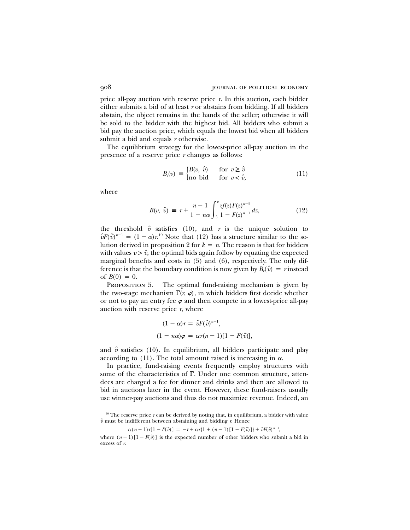price all-pay auction with reserve price *r*. In this auction, each bidder either submits a bid of at least *r* or abstains from bidding. If all bidders abstain, the object remains in the hands of the seller; otherwise it will be sold to the bidder with the highest bid. All bidders who submit a bid pay the auction price, which equals the lowest bid when all bidders submit a bid and equals *r* otherwise.

The equilibrium strategy for the lowest-price all-pay auction in the presence of a reserve price *r* changes as follows:

$$
B_r(v) \equiv \begin{cases} B(v, \hat{v}) & \text{for } v \ge \hat{v} \\ \text{no bid} & \text{for } v < \hat{v}, \end{cases}
$$
(11)

where

$$
B(v, \hat{v}) \equiv r + \frac{n-1}{1 - n\alpha} \int_{\hat{v}}^{v} \frac{zf(z)F(z)^{n-2}}{1 - F(z)^{n-1}} dz,
$$
 (12)

the threshold  $\hat{v}$  satisfies (10), and *r* is the unique solution to  $\hat{v}F(\hat{v})^{n-1} = (1 - \alpha)r^{10}$  Note that (12) has a structure similar to the solution derived in proposition 2 for  $k = n$ . The reason is that for bidders with values  $v > \hat{v}$ , the optimal bids again follow by equating the expected marginal benefits and costs in (5) and (6), respectively. The only difference is that the boundary condition is now given by  $B_r(\hat{v}) = r$  instead of  $B(0) = 0$ .

PROPOSITION 5. The optimal fund-raising mechanism is given by the two-stage mechanism  $\Gamma(r, \varphi)$ , in which bidders first decide whether or not to pay an entry fee  $\varphi$  and then compete in a lowest-price all-pay auction with reserve price *r*, where

$$
(1 - \alpha)r = \hat{v}F(\hat{v})^{n-1},
$$
  

$$
(1 - n\alpha)\varphi = \alpha r(n-1)[1 - F(\hat{v})],
$$

and  $\hat{v}$  satisfies (10). In equilibrium, all bidders participate and play according to (11). The total amount raised is increasing in  $\alpha$ .

In practice, fund-raising events frequently employ structures with some of the characteristics of  $\Gamma$ . Under one common structure, attendees are charged a fee for dinner and drinks and then are allowed to bid in auctions later in the event. However, these fund-raisers usually use winner-pay auctions and thus do not maximize revenue. Indeed, an

$$
\alpha(n-1)r[1 - F(\hat{v})] = -r + \alpha r[1 + (n-1)[1 - F(\hat{v})]] + \hat{v}F(\hat{v})^{n-1},
$$

where  $(n-1)[1 - F(\hat{v})]$  is the expected number of other bidders who submit a bid in excess of *r*.

<sup>&</sup>lt;sup>10</sup> The reserve price  $r$  can be derived by noting that, in equilibrium, a bidder with value *vˆ* must be indifferent between abstaining and bidding *r*. Hence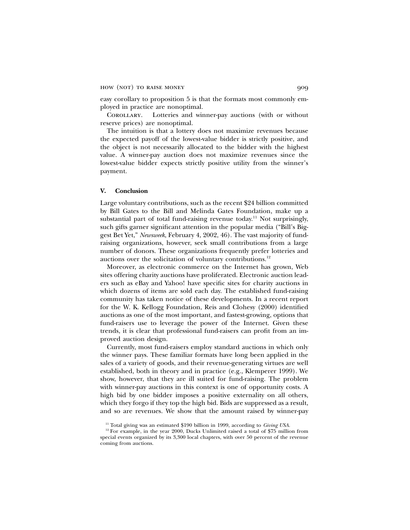easy corollary to proposition 5 is that the formats most commonly employed in practice are nonoptimal.

Corollary. Lotteries and winner-pay auctions (with or without reserve prices) are nonoptimal.

The intuition is that a lottery does not maximize revenues because the expected payoff of the lowest-value bidder is strictly positive, and the object is not necessarily allocated to the bidder with the highest value. A winner-pay auction does not maximize revenues since the lowest-value bidder expects strictly positive utility from the winner's payment.

## **V. Conclusion**

Large voluntary contributions, such as the recent \$24 billion committed by Bill Gates to the Bill and Melinda Gates Foundation, make up a substantial part of total fund-raising revenue today.<sup>11</sup> Not surprisingly, such gifts garner significant attention in the popular media ("Bill's Biggest Bet Yet," *Newsweek*, February 4, 2002, 46). The vast majority of fundraising organizations, however, seek small contributions from a large number of donors. These organizations frequently prefer lotteries and auctions over the solicitation of voluntary contributions.<sup>12</sup>

Moreover, as electronic commerce on the Internet has grown, Web sites offering charity auctions have proliferated. Electronic auction leaders such as eBay and Yahoo! have specific sites for charity auctions in which dozens of items are sold each day. The established fund-raising community has taken notice of these developments. In a recent report for the W. K. Kellogg Foundation, Reis and Clohesy (2000) identified auctions as one of the most important, and fastest-growing, options that fund-raisers use to leverage the power of the Internet. Given these trends, it is clear that professional fund-raisers can profit from an improved auction design.

Currently, most fund-raisers employ standard auctions in which only the winner pays. These familiar formats have long been applied in the sales of a variety of goods, and their revenue-generating virtues are well established, both in theory and in practice (e.g., Klemperer 1999). We show, however, that they are ill suited for fund-raising. The problem with winner-pay auctions in this context is one of opportunity costs. A high bid by one bidder imposes a positive externality on all others, which they forgo if they top the high bid. Bids are suppressed as a result, and so are revenues. We show that the amount raised by winner-pay

<sup>&</sup>lt;sup>11</sup> Total giving was an estimated \$190 billion in 1999, according to *Giving USA*.

<sup>&</sup>lt;sup>12</sup> For example, in the year 2000, Ducks Unlimited raised a total of \$75 million from special events organized by its 3,300 local chapters, with over 50 percent of the revenue coming from auctions.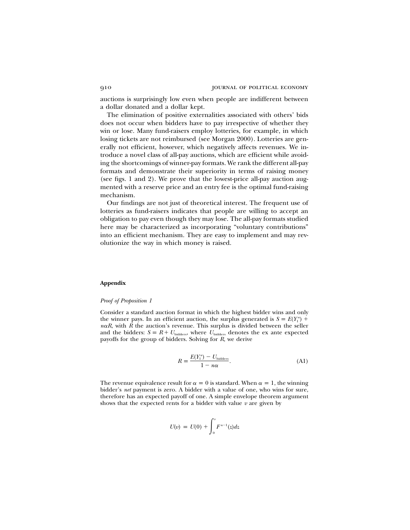auctions is surprisingly low even when people are indifferent between a dollar donated and a dollar kept.

The elimination of positive externalities associated with others' bids does not occur when bidders have to pay irrespective of whether they win or lose. Many fund-raisers employ lotteries, for example, in which losing tickets are not reimbursed (see Morgan 2000). Lotteries are generally not efficient, however, which negatively affects revenues. We introduce a novel class of all-pay auctions, which are efficient while avoiding the shortcomings of winner-pay formats. We rank the different all-pay formats and demonstrate their superiority in terms of raising money (see figs. 1 and 2). We prove that the lowest-price all-pay auction augmented with a reserve price and an entry fee is the optimal fund-raising mechanism.

Our findings are not just of theoretical interest. The frequent use of lotteries as fund-raisers indicates that people are willing to accept an obligation to pay even though they may lose. The all-pay formats studied here may be characterized as incorporating "voluntary contributions" into an efficient mechanism. They are easy to implement and may revolutionize the way in which money is raised.

## **Appendix**

## *Proof of Proposition 1*

Consider a standard auction format in which the highest bidder wins and only the winner pays. In an efficient auction, the surplus generated is  $S = E(Y_1^n) +$  $n\alpha R$ , with  $\overline{R}$  the auction's revenue. This surplus is divided between the seller and the bidders:  $S = R + U_{\text{bidders}}$ , where  $U_{\text{bidders}}$  denotes the ex ante expected payoffs for the group of bidders. Solving for *R*, we derive

$$
R = \frac{E(Y_1^n) - U_{\text{bidders}}}{1 - n\alpha}.
$$
 (A1)

The revenue equivalence result for  $\alpha = 0$  is standard. When  $\alpha = 1$ , the winning bidder's *net* payment is zero. A bidder with a value of one, who wins for sure, therefore has an expected payoff of one. A simple envelope theorem argument shows that the expected rents for a bidder with value  $v$  are given by

$$
U(v) = U(0) + \int_0^v F^{n-1}(z) dz
$$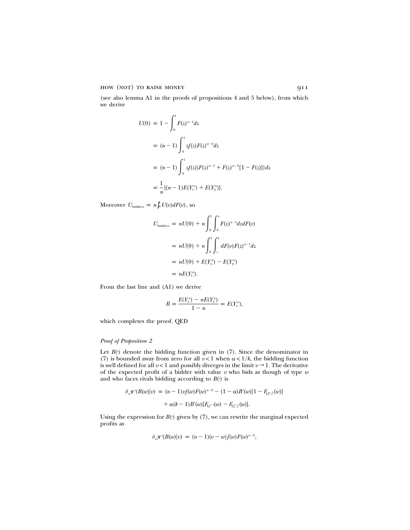how (not) to raise money 911

(see also lemma A1 in the proofs of propositions 4 and 5 below), from which we derive

$$
U(0) = 1 - \int_0^1 F(z)^{n-1} dz
$$
  
=  $(n-1) \int_0^1 z f(z) F(z)^{n-2} dz$   
=  $(n-1) \int_0^1 z f(z) \{F(z)^{n-1} + F(z)^{n-2}[1 - F(z)]\} dz$   
=  $\frac{1}{n} [(n-1)E(Y_1^n) + E(Y_2^n)].$ 

Moreover  $U_{\text{bidders}} = n \int_0^1 U(v) dF(v)$ , so

$$
U_{\text{bidders}} = nU(0) + n \int_0^1 \int_0^v F(z)^{n-1} dz dF(v)
$$
  
=  $nU(0) + n \int_0^1 \int_z^1 dF(v) F(z)^{n-1} dz$   
=  $nU(0) + E(Y_1^n) - E(Y_2^n)$   
=  $nE(Y_1^n)$ .

From the last line and (A1) we derive

$$
R = \frac{E(Y_1^n) - nE(Y_1^n)}{1 - n} = E(Y_1^n),
$$

which completes the proof. QED

## *Proof of Proposition 2*

Let  $B(·)$  denote the bidding function given in  $(7)$ . Since the denominator in (7) is bounded away from zero for all  $v < 1$  when  $\alpha < 1/k$ , the bidding function is well defined for all  $v < 1$  and possibly diverges in the limit  $v \rightarrow 1$ . The derivative of the expected profit of a bidder with value *v* who bids as though of type *w* and who faces rivals bidding according to  $B(·)$  is

$$
\partial_w \pi^{\epsilon}(B(w)|v) = (n-1)v f(w) F(w)^{n-2} - (1-\alpha)B'(w)[1 - F_{Y_{k-1}^{n-1}}(w)] + \alpha(k-1)B'(w)[F_{Y_k^{n-1}}(w) - F_{Y_{k-1}^{n-1}}(w)].
$$

Using the expression for  $B(·)$  given by  $(7)$ , we can rewrite the marginal expected profits as

$$
\partial_w \pi^e(B(w)|v) = (n-1)(v-w)f(w)F(w)^{n-2},
$$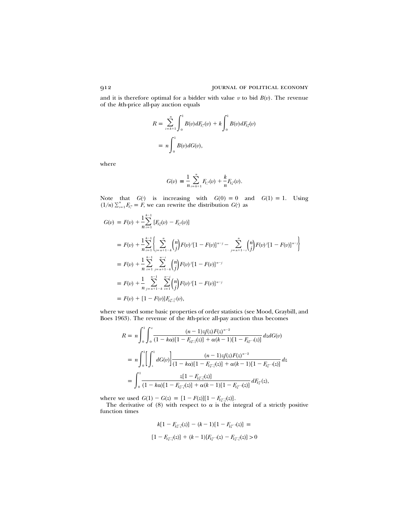and it is therefore optimal for a bidder with value  $v$  to bid  $B(v)$ . The revenue of the *k*th-price all-pay auction equals

$$
R = \sum_{i=k+1}^{n} \int_{0}^{1} B(v) dF_{Y_i}(v) + k \int_{0}^{1} B(v) dF_{Y_k}(v)
$$
  
=  $n \int_{0}^{1} B(v) dG(v),$ 

where

$$
G(v) = \frac{1}{n} \sum_{i=k+1}^{n} F_{Y_i}(v) + \frac{k}{n} F_{Y_k}(v).
$$

Note that  $G(\cdot)$  is increasing with  $G(0) = 0$  and  $G(1) = 1$ . Using  $(1/n) \sum_{i=1}^{n} F_{Y_i}^n = F$ , we can rewrite the distribution  $G(\cdot)$  as

$$
G(v) = F(v) + \frac{1}{n} \sum_{i=1}^{n-1} [F_{Y_i^u}(v) - F_{Y_i^u}(v)]
$$
  
\n
$$
= F(v) + \frac{1}{n} \sum_{i=1}^{n-1} \left\{ \sum_{j=n+1-k}^n {n \choose j} F(v)^j [1 - F(v)]^{n-j} - \sum_{j=n+1-i}^n {n \choose j} F(v)^j [1 - F(v)]^{n-j} \right\}
$$
  
\n
$$
= F(v) + \frac{1}{n} \sum_{i=1}^{n-1} \sum_{j=n+1-k}^{n-i} {n \choose j} F(v)^j [1 - F(v)]^{n-j}
$$
  
\n
$$
= F(v) + \frac{1}{n} \sum_{j=n+1-k}^{n-1} \sum_{i=1}^{n-j} {n \choose j} F(v)^j [1 - F(v)]^{n-j}
$$
  
\n
$$
= F(v) + [1 - F(v)] F_{Y_{k-1}^{n-1}}(v),
$$

where we used some basic properties of order statistics (see Mood, Graybill, and Boes 1963). The revenue of the *k*th-price all-pay auction thus becomes

$$
R = n \int_0^1 \int_0^v \frac{(n-1)zf(z)F(z)^{n-2}}{(1-k\alpha)[1 - F_{Y_k^{n-1}}(z)] + \alpha(k-1)[1 - F_{Y_k^{n-1}}(z)]} dz dG(v)
$$
  
\n
$$
= n \int_0^1 \left[ \int_z^1 dG(v) \right] \frac{(n-1)zf(z)F(z)^{n-2}}{(1-k\alpha)[1 - F_{Y_k^{n-1}}(z)] + \alpha(k-1)[1 - F_{Y_k^{n-1}}(z)]} dz
$$
  
\n
$$
= \int_0^1 \frac{z[1 - F_{Y_k^{n-1}}(z)]}{(1-k\alpha)[1 - F_{Y_k^{n-1}}(z)] + \alpha(k-1)[1 - F_{Y_k^{n-1}}(z)]} dF_{Y_k^n}(z),
$$

where we used  $G(1) - G(z) = [1 - F(z)][1 - F_{Y_{k-1}}(z)].$ 

The derivative of (8) with respect to  $\alpha$  is the integral of a strictly positive function times

$$
k[1 - F_{Y_k^{n-1}}(z)] - (k-1)[1 - F_{Y_k^{n-1}}(z)] =
$$
  

$$
[1 - F_{Y_k^{n-1}}(z)] + (k-1)[F_{Y_k^{n-1}}(z) - F_{Y_k^{n-1}}(z)] > 0
$$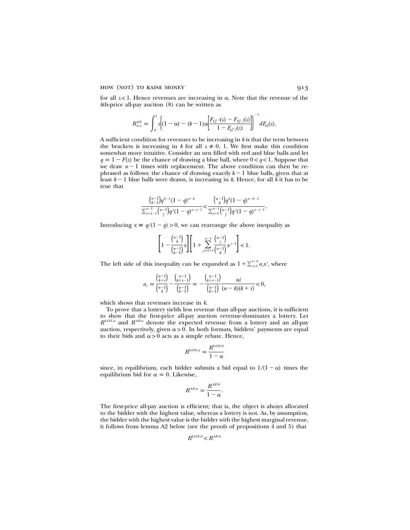for all  $z$ <1. Hence revenues are increasing in  $\alpha$ . Note that the revenue of the *k*th-price all-pay auction (8) can be written as

$$
R_{k,n}^{\text{AP}} = \int_0^1 z \Bigg\{ (1-\alpha) - (k-1) \alpha \Bigg[ \!\frac{F_{Y_k^{n-1}}(z) - F_{Y_{k-1}^{n-1}}(z)}{1 - F_{Y_{k-1}^{n-1}}(z)} \Bigg] \!\Bigg]^{-1} dF_{Y_k^p}(z).
$$

A sufficient condition for revenues to be increasing in *k* is that the term between the brackets is increasing in *k* for all  $z \neq 0$ , 1. We first make this condition somewhat more intuitive. Consider an urn filled with red and blue balls and let  $q = 1 - F(z)$  be the chance of drawing a blue ball, where  $0 < q < 1$ . Suppose that we draw  $n-1$  times with replacement. The above condition can then be rephrased as follows: the chance of drawing exactly  $k-1$  blue balls, given that at least  $k-1$  blue balls were drawn, is increasing in  $k$ . Hence, for all  $k$  it has to be true that

$$
\frac{\binom{n-1}{k-1}q^{k-1}(1-q)^{n-k}}{\sum_{j=k-1}^{n-1}\binom{n-1}{j}q^j(1-q)^{n-j-1}} < \frac{\binom{n-1}{k}q^k(1-q)^{n-k-1}}{\sum_{j=k}^{n-1}\binom{n-1}{j}q^j(1-q)^{n-j-1}}.
$$

Introducing  $x \equiv q/(1 - q) > 0$ , we can rearrange the above inequality as

$$
\Bigg[1-\frac{{n-1\choose k}}{{n-1\choose k-1}}x\Bigg]\Bigg[1+\sum_{j=k+1}^{n-1}\frac{{n-1\choose j}}{{n-1\choose k}}x^{j-k}\Bigg]<1.
$$

The left side of this inequality can be expanded as  $1 + \sum_{i=1}^{n-k} a_i x^i$ , where

$$
a_i = \frac{\binom{n-1}{k+i}}{\binom{n-1}{k}} - \frac{\binom{n-1}{k+i-1}}{\binom{n-1}{k-1}} = -\frac{\binom{n-1}{k+i-1}}{\binom{n-1}{k-1}} \frac{ni}{(n-k)(k+i)} < 0,
$$

which shows that revenues increase in *k*.

To prove that a lottery yields less revenue than all-pay auctions, it is sufficient to show that the first-price all-pay auction revenue-dominates a lottery. Let  $R^{\text{LOT},\alpha}$  and  $R^{\text{AP},\alpha}$  denote the expected revenue from a lottery and an all-pay auction, respectively, given  $\alpha > 0$ . In both formats, bidders' payments are equal to their bids and  $\alpha > 0$  acts as a simple rebate. Hence,

$$
R^{\text{LOT},\alpha} = \frac{R^{\text{LOT},0}}{1-\alpha}
$$

since, in equilibrium, each bidder submits a bid equal to  $1/(1 - \alpha)$  times the equilibrium bid for  $\alpha = 0$ . Likewise,

$$
R^{\text{AP},\alpha} = \frac{R^{\text{AP},0}}{1-\alpha}.
$$

The first-price all-pay auction is efficient; that is, the object is always allocated to the bidder with the highest value, whereas a lottery is not. As, by assumption, the bidder with the highest value is the bidder with the highest marginal revenue, it follows from lemma A2 below (see the proofs of propositions 4 and 5) that

$$
R^{\mathrm{LOT},0} < R^{\mathrm{AP},0}
$$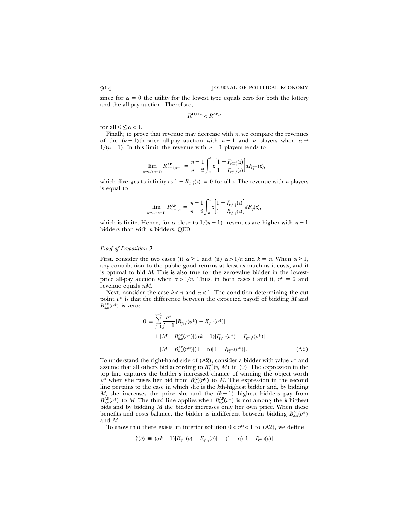since for  $\alpha = 0$  the utility for the lowest type equals zero for both the lottery and the all-pay auction. Therefore,

$$
R^{\rm{LOT},\alpha}\!
$$

for all  $0 \leq \alpha < 1$ .

Finally, to prove that revenue may decrease with *n*, we compare the revenues of the  $(n-1)$ th-price all-pay auction with  $n-1$  and *n* players when  $\alpha \rightarrow$  $1/(n-1)$ . In this limit, the revenue with  $n-1$  players tends to

$$
\lim_{\alpha\to 1/(n-1)} R^{\text{AP}}_{n-1,n-1} = \frac{n-1}{n-2} \int_0^1 z \Big[\frac{1-F_{Y_n^{\pi-2}}(z)}{1-F_{Y_n^{\pi-1}}(z)}\Big] dF_{Y_2^{n-1}}(z),
$$

which diverges to infinity as  $1 - F_{Y_{n-1}}(z) = 0$  for all z. The revenue with *n* players is equal to

$$
\lim_{\alpha\to 1/(n-1)} R^{\text{AP}}_{n-1,n} = \frac{n-1}{n-2} \int_0^1 z \left[ \frac{1-F_{Y^m_{n-2}}(z)}{1-F_{Y^m_{n-1}}(z)} \right] dF_{Y^p_2}(z),
$$

which is finite. Hence, for  $\alpha$  close to  $1/(n-1)$ , revenues are higher with  $n-1$ bidders than with *n* bidders. QED

#### *Proof of Proposition 3*

First, consider the two cases (i)  $\alpha \geq 1$  and (ii)  $\alpha > 1/n$  and  $k = n$ . When  $\alpha \geq 1$ , any contribution to the public good returns at least as much as it costs, and it is optimal to bid *M*. This is also true for the zero-value bidder in the lowestprice all-pay auction when  $\alpha > 1/n$ . Thus, in both cases i and ii,  $v^* = 0$  and revenue equals *nM*.

Next, consider the case  $k < n$  and  $\alpha < 1$ . The condition determining the cut point  $v^*$  is that the difference between the expected payoff of bidding  $M$  and  $B_{k,n}^{\text{AP}}(v^*)$  is zero:

$$
0 = \sum_{j=1}^{n-1} \frac{v^*}{j+1} [F_{Y_{j+1}^{n-1}}(v^*) - F_{Y_j^{n-1}}(v^*)]
$$
  
+ 
$$
[M - B_{k,n}^{\text{AP}}(v^*)](\alpha k - 1)[F_{Y_k^{n-1}}(v^*) - F_{Y_{k-1}^{n-1}}(v^*)]
$$
  
- 
$$
[M - B_{k,n}^{\text{AP}}(v^*)](1 - \alpha)[1 - F_{Y_k^{n-1}}(v^*)].
$$
 (A2)

To understand the right-hand side of  $(A2)$ , consider a bidder with value  $v^*$  and assume that all others bid according to  $B_{k,n}^{AP}(v, M)$  in (9). The expression in the top line captures the bidder's increased chance of winning the object worth  $v^*$  when she raises her bid from  $B_{k,n}^{\text{AP}}(v^*)$  to *M*. The expression in the second line pertains to the case in which she is the *k*th-highest bidder and, by bidding *M*, she increases the price she and the  $(k - 1)$  highest bidders pay from  $B_{k,n}^{\text{AP}}(v^*)$  to *M*. The third line applies when  $B_{k,n}^{\text{AP}}(v^*)$  is not among the *k* highest bids and by bidding *M* the bidder increases only her own price. When these benefits and costs balance, the bidder is indifferent between bidding  $B_{k,n}^{\text{AP}}(v^*)$ and *M*.

To show that there exists an interior solution  $0 < v^* < 1$  to (A2), we define

$$
\zeta(v) = (\alpha k - 1)[F_{Y_k^{n-1}}(v) - F_{Y_{k-1}^{n-1}}(v)] - (1 - \alpha)[1 - F_{Y_k^{n-1}}(v)]
$$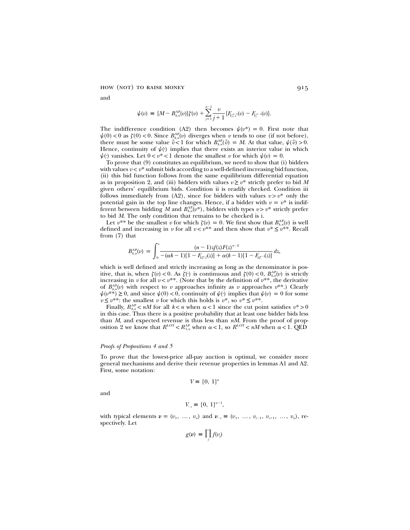and

$$
\psi(v) \, \equiv \, [M - B_{k,n}^{\text{AP}}(v)] \zeta(v) \, + \sum_{j=1}^{n-1} \frac{v}{j+1} \, [F_{Y_{j+1}^{n-1}}(v) \, - F_{Y_j^{n-1}}(v)].
$$

The indifference condition (A2) then becomes  $\psi(v^*) = 0$ . First note that  $\psi(0) < 0$  as  $\zeta(0) < 0$ . Since  $B_{k,n}^{\text{AP}}(v)$  diverges when *v* tends to one (if not before), there must be some value  $\tilde{v}$ <1 for which  $B_{k,n}^{\text{AP}}(\tilde{v}) = M$ . At that value,  $\psi(\tilde{v}) > 0$ . Hence, continuity of  $\psi(\cdot)$  implies that there exists an interior value in which  $\psi$ <sup>(*r*</sup>) vanishes. Let  $0 < v^* < 1$  denote the smallest v for which  $\psi(v) = 0$ .

To prove that (9) constitutes an equilibrium, we need to show that (i) bidders with values  $v < v^*$  submit bids according to a well-defined increasing bid function, (ii) this bid function follows from the same equilibrium differential equation as in proposition 2, and (iii) bidders with values  $v \geq v^*$  strictly prefer to bid *M* given others' equilibrium bids. Condition ii is readily checked. Condition iii follows immediately from (A2), since for bidders with values  $v > v^*$  only the potential gain in the top line changes. Hence, if a bidder with  $v = v^*$  is indifferent between bidding *M* and  $B_{k,n}^{\text{AP}}(\nu^*)$ , bidders with types  $\nu > \nu^*$  strictly prefer to bid *M*. The only condition that remains to be checked is i.

Let  $v^{**}$  be the smallest *v* for which  $\zeta(v) = 0$ . We first show that  $B_k^{\text{AP}}(v)$  is well defined and increasing in *v* for all  $v < v^{**}$  and then show that  $v^* \le v^{**}$ . Recall from (7) that

$$
B_{k,n}^{\text{AP}}(v) = \int_0^v \frac{(n-1)zf(z)F(z)^{n-2}}{-(\alpha k-1)[1-F_{Y_k^{n-1}}(z)] + \alpha (k-1)[1-F_{Y_k^{n-1}}(z)]}dz,
$$

which is well defined and strictly increasing as long as the denominator is positive, that is, when  $\zeta(v) < 0$ . As  $\zeta(·)$  is continuous and  $\zeta(0) < 0$ ,  $B_{k,n}^{AP}(v)$  is strictly increasing in *v* for all  $v < v^{**}$ . (Note that by the definition of  $v^{**}$ , the derivative of  $B_{k,n}^{\text{AP}}(v)$  with respect to *v* approaches infinity as *v* approaches  $v^{**}$ .) Clearly  $\psi(v^{**}) \geq 0$ , and since  $\psi(0) < 0$ , continuity of  $\psi(\cdot)$  implies that  $\psi(v) = 0$  for some  $v \le v^{**}$ : the smallest *v* for which this holds is  $v^*$ , so  $v^* \le v^{**}$ .

Finally,  $R_{k,n}^{\text{AP}} < nM$  for all  $k < n$  when  $\alpha < 1$  since the cut point satisfies  $v^* > 0$ in this case. Thus there is a positive probability that at least one bidder bids less than *M*, and expected revenue is thus less than *nM*. From the proof of proposition 2 we know that  $R^{\text{LOT}} < R_{1,n}^{\text{AP}}$  when  $\alpha < 1$ , so  $R^{\text{LOT}} < nM$  when  $\alpha < 1$ . QED

#### *Proofs of Propositions 4 and 5*

To prove that the lowest-price all-pay auction is optimal, we consider more general mechanisms and derive their revenue properties in lemmas A1 and A2. First, some notation:

$$
V \equiv [0, 1]^n
$$

and

$$
V_{-i} \equiv [0, 1]^{n-1},
$$

with typical elements  $v = (v_1, ..., v_n)$  and  $v_{-i} \equiv (v_1, ..., v_{i-1}, v_{i+1}, ..., v_n)$ , respectively. Let

$$
g(v) \equiv \prod_j f(v_j)
$$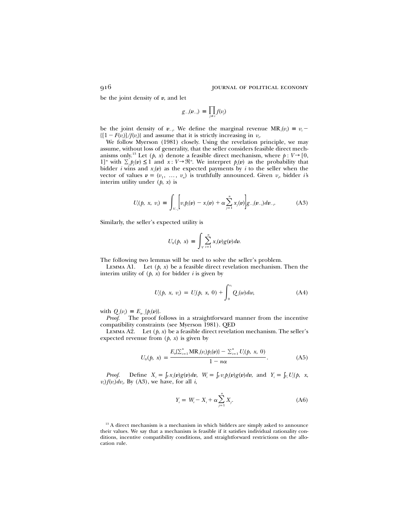be the joint density of *v*, and let

$$
g_{-i}(v_{-i}) = \prod_{j \neq i} f(v_j)
$$

be the joint density of  $v_{-i}$ . We define the marginal revenue  $MR_i(v_i) = v_i$  ${[(1 - F(v_i)]}{f(v_i)}$  and assume that it is strictly increasing in  $v_i$ .

We follow Myerson (1981) closely. Using the revelation principle, we may assume, without loss of generality, that the seller considers feasible direct mechanisms only.<sup>13</sup> Let  $(p, x)$  denote a feasible direct mechanism, where  $p: V \rightarrow [0,$  $1]^n$  with  $\sum_i p_i(v) \leq 1$  and  $x: V \to \mathbb{R}^n$ . We interpret  $p_i(v)$  as the probability that bidder *i* wins and  $x_i(v)$  as the expected payments by *i* to the seller when the vector of values  $v = (v_1, \ldots, v_n)$  is truthfully announced. Given  $v_i$  bidder *i*'s interim utility under  $(p, x)$  is

$$
U_i(p, x, v_i) \equiv \int_{V_{-i}} \left[ v_i p_i(v) - x_i(v) + \alpha \sum_{j=1}^n x_j(v) \right] g_{-i}(v_{-i}) dv_{-i}.
$$
 (A3)

Similarly, the seller's expected utility is

$$
U_0(p, x) \equiv \int_{V} \sum_{i=1}^n x_i(v) g(v) dv.
$$

The following two lemmas will be used to solve the seller's problem.

LEMMA A1. Let  $(p, x)$  be a feasible direct revelation mechanism. Then the interim utility of  $(p, x)$  for bidder *i* is given by

$$
U_i(p, x, v_i) = U_i(p, x, 0) + \int_0^{v_i} Q_i(w) dw,
$$
 (A4)

with  $Q_i(v_i) \equiv E_{v_{-i}}\{p_i(v)\}.$ 

*Proof*. The proof follows in a straightforward manner from the incentive compatibility constraints (see Myerson 1981). QED

LEMMA A2. Let  $(p, x)$  be a feasible direct revelation mechanism. The seller's expected revenue from  $(p, x)$  is given by

$$
U_0(p, x) = \frac{E_v[\sum_{i=1}^n \text{MR}_i(v_i)p_i(v)] - \sum_{i=1}^n U_i(p, x, 0)}{1 - n\alpha}.
$$
 (A5)

*Proof.* Define  $X_i = \int_V x_i(v)g(v)dv$ ,  $W_i = \int_V v_i p_i(v)g(v)dv$ , and  $Y_i = \int_{V_i} U_i(p, x,$  $v_i$   $f(v_i)dv_i$ . By (A3), we have, for all *i*,

$$
Y_i = W_i - X_i + \alpha \sum_{j=1}^{n} X_j.
$$
 (A6)

<sup>13</sup> A direct mechanism is a mechanism in which bidders are simply asked to announce their values. We say that a mechanism is feasible if it satisfies individual rationality conditions, incentive compatibility conditions, and straightforward restrictions on the allocation rule.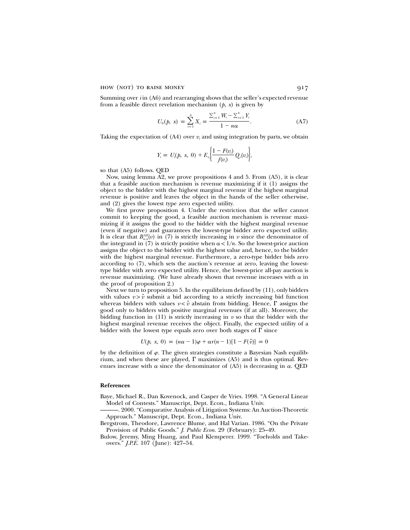Summing over *i* in (A6) and rearranging shows that the seller's expected revenue from a feasible direct revelation mechanism (*p*, *x*) is given by

$$
U_0(p, x) = \sum_{i=1}^n X_i = \frac{\sum_{i=1}^n W_i - \sum_{i=1}^n Y_i}{1 - n\alpha}.
$$
 (A7)

Taking the expectation of  $(A4)$  over  $v_i$  and using integration by parts, we obtain

$$
Y_i = U_i(p, x, 0) + E_{v_i} \bigg[ \frac{1 - F(v_i)}{f(v_i)} Q_i(v_i) \bigg],
$$

so that (A5) follows. QED

Now, using lemma A2, we prove propositions 4 and 5. From (A5), it is clear that a feasible auction mechanism is revenue maximizing if it (1) assigns the object to the bidder with the highest marginal revenue if the highest marginal revenue is positive and leaves the object in the hands of the seller otherwise, and (2) gives the lowest type zero expected utility.

We first prove proposition 4. Under the restriction that the seller cannot commit to keeping the good, a feasible auction mechanism is revenue maximizing if it assigns the good to the bidder with the highest marginal revenue (even if negative) and guarantees the lowest-type bidder zero expected utility. It is clear that  $B_{n,n}^{\text{AP}}(v)$  in (7) is strictly increasing in *v* since the denominator of the integrand in (7) is strictly positive when  $\alpha < 1/n$ . So the lowest-price auction assigns the object to the bidder with the highest value and, hence, to the bidder with the highest marginal revenue. Furthermore, a zero-type bidder bids zero according to (7), which sets the auction's revenue at zero, leaving the lowesttype bidder with zero expected utility. Hence, the lowest-price all-pay auction is revenue maximizing. (We have already shown that revenue increases with  $\alpha$  in the proof of proposition 2.)

Next we turn to proposition 5. In the equilibrium defined by (11), only bidders with values  $v > \hat{v}$  submit a bid according to a strictly increasing bid function whereas bidders with values  $v < \hat{v}$  abstain from bidding. Hence,  $\Gamma$  assigns the good only to bidders with positive marginal revenues (if at all). Moreover, the bidding function in  $(11)$  is strictly increasing in  $v$  so that the bidder with the highest marginal revenue receives the object. Finally, the expected utility of a bidder with the lowest type equals zero over both stages of  $\Gamma$  since

 $U(p, x, 0) = (n\alpha - 1)\varphi + \alpha r(n-1)[1 - F(\hat{v})] = 0$ 

by the definition of  $\varphi$ . The given strategies constitute a Bayesian Nash equilibrium, and when these are played,  $\Gamma$  maximizes (A5) and is thus optimal. Revenues increase with  $\alpha$  since the denominator of (A5) is decreasing in  $\alpha$ . QED

## **References**

- Baye, Michael R., Dan Kovenock, and Casper de Vries. 1998. "A General Linear Model of Contests." Manuscript, Dept. Econ., Indiana Univ.
- ———. 2000. "Comparative Analysis of Litigation Systems: An Auction-Theoretic Approach." Manuscript, Dept. Econ., Indiana Univ.
- Bergstrom, Theodore, Lawrence Blume, and Hal Varian. 1986. "On the Private Provision of Public Goods." *J. Public Econ.* 29 (February): 25–49.

Bulow, Jeremy, Ming Huang, and Paul Klemperer. 1999. "Toeholds and Takeovers." *J.P.E.* 107 (June): 427–54.